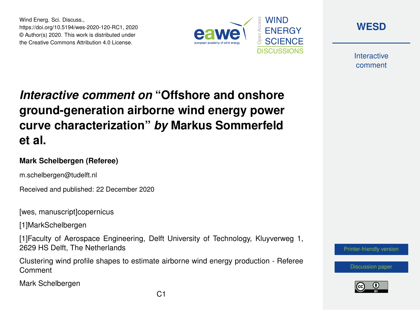Wind Energ. Sci. Discuss., https://doi.org/10.5194/wes-2020-120-RC1, 2020 © Author(s) 2020. This work is distributed under the Creative Commons Attribution 4.0 License.





**Interactive** comment

# *Interactive comment on* **"Offshore and onshore ground-generation airborne wind energy power curve characterization"** *by* **Markus Sommerfeld et al.**

### **Mark Schelbergen (Referee)**

m.schelbergen@tudelft.nl

Received and published: 22 December 2020

[wes, manuscript]copernicus

[1]MarkSchelbergen

[1]Faculty of Aerospace Engineering, Delft University of Technology, Kluyverweg 1, 2629 HS Delft, The Netherlands

Clustering wind profile shapes to estimate airborne wind energy production - Referee Comment

Mark Schelbergen

[Printer-friendly version](https://wes.copernicus.org/preprints/wes-2020-120/wes-2020-120-RC1-print.pdf)

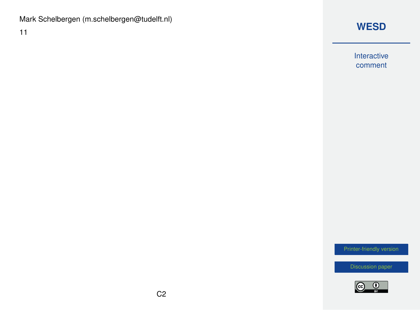### Mark Schelbergen (m.schelbergen@tudelft.nl)

11

# **[WESD](https://wes.copernicus.org/preprints/)**

Interactive comment

[Printer-friendly version](https://wes.copernicus.org/preprints/wes-2020-120/wes-2020-120-RC1-print.pdf)

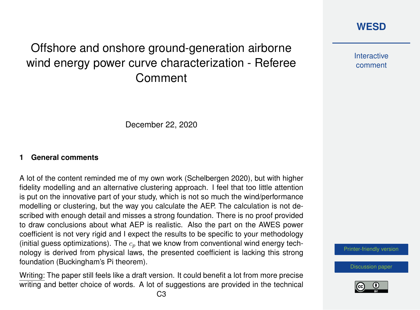# Offshore and onshore ground-generation airborne wind energy power curve characterization - Referee Comment



**Interactive** comment

December 22, 2020

#### **1 General comments**

A lot of the content reminded me of my own work (Schelbergen 2020), but with higher fidelity modelling and an alternative clustering approach. I feel that too little attention is put on the innovative part of your study, which is not so much the wind/performance modelling or clustering, but the way you calculate the AEP. The calculation is not described with enough detail and misses a strong foundation. There is no proof provided to draw conclusions about what AEP is realistic. Also the part on the AWES power coefficient is not very rigid and I expect the results to be specific to your methodology (initial guess optimizations). The  $c_n$  that we know from conventional wind energy technology is derived from physical laws, the presented coefficient is lacking this strong foundation (Buckingham's Pi theorem).

Writing: The paper still feels like a draft version. It could benefit a lot from more precise writing and better choice of words. A lot of suggestions are provided in the technical

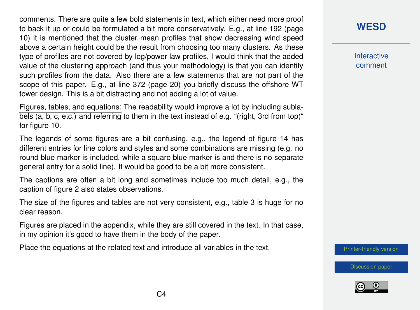comments. There are quite a few bold statements in text, which either need more proof to back it up or could be formulated a bit more conservatively. E.g., at line 192 (page 10) it is mentioned that the cluster mean profiles that show decreasing wind speed above a certain height could be the result from choosing too many clusters. As these type of profiles are not covered by log/power law profiles, I would think that the added value of the clustering approach (and thus your methodology) is that you can identify such profiles from the data. Also there are a few statements that are not part of the scope of this paper. E.g., at line 372 (page 20) you briefly discuss the offshore WT tower design. This is a bit distracting and not adding a lot of value.

Figures, tables, and equations: The readability would improve a lot by including sublabels (a, b, c, etc.) and referring to them in the text instead of e.g. "(right, 3rd from top)" for figure 10.

The legends of some figures are a bit confusing, e.g., the legend of figure 14 has different entries for line colors and styles and some combinations are missing (e.g. no round blue marker is included, while a square blue marker is and there is no separate general entry for a solid line). It would be good to be a bit more consistent.

The captions are often a bit long and sometimes include too much detail, e.g., the caption of figure 2 also states observations.

The size of the figures and tables are not very consistent, e.g., table 3 is huge for no clear reason.

Figures are placed in the appendix, while they are still covered in the text. In that case, in my opinion it's good to have them in the body of the paper.

Place the equations at the related text and introduce all variables in the text.

### **[WESD](https://wes.copernicus.org/preprints/)**

**Interactive** comment

[Printer-friendly version](https://wes.copernicus.org/preprints/wes-2020-120/wes-2020-120-RC1-print.pdf)



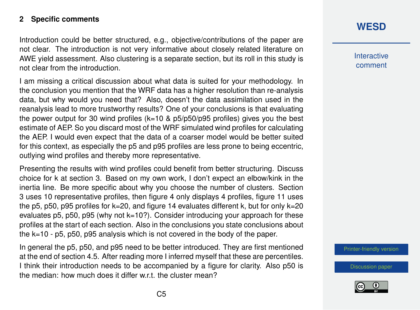#### **2 Specific comments**

Introduction could be better structured, e.g., objective/contributions of the paper are not clear. The introduction is not very informative about closely related literature on AWE yield assessment. Also clustering is a separate section, but its roll in this study is not clear from the introduction.

I am missing a critical discussion about what data is suited for your methodology. In the conclusion you mention that the WRF data has a higher resolution than re-analysis data, but why would you need that? Also, doesn't the data assimilation used in the reanalysis lead to more trustworthy results? One of your conclusions is that evaluating the power output for 30 wind profiles (k=10 & p5/p50/p95 profiles) gives you the best estimate of AEP. So you discard most of the WRF simulated wind profiles for calculating the AEP. I would even expect that the data of a coarser model would be better suited for this context, as especially the p5 and p95 profiles are less prone to being eccentric, outlying wind profiles and thereby more representative.

Presenting the results with wind profiles could benefit from better structuring. Discuss choice for k at section 3. Based on my own work, I don't expect an elbow/kink in the inertia line. Be more specific about why you choose the number of clusters. Section 3 uses 10 representative profiles, then figure 4 only displays 4 profiles, figure 11 uses the p5, p50, p95 profiles for k=20, and figure 14 evaluates different k, but for only k=20 evaluates p5, p50, p95 (why not  $k=10$ ?). Consider introducing your approach for these profiles at the start of each section. Also in the conclusions you state conclusions about the k=10 - p5, p50, p95 analysis which is not covered in the body of the paper.

In general the p5, p50, and p95 need to be better introduced. They are first mentioned at the end of section 4.5. After reading more I inferred myself that these are percentiles. I think their introduction needs to be accompanied by a figure for clarity. Also p50 is the median: how much does it differ w.r.t. the cluster mean?

# **[WESD](https://wes.copernicus.org/preprints/)**

**Interactive** comment

[Printer-friendly version](https://wes.copernicus.org/preprints/wes-2020-120/wes-2020-120-RC1-print.pdf)

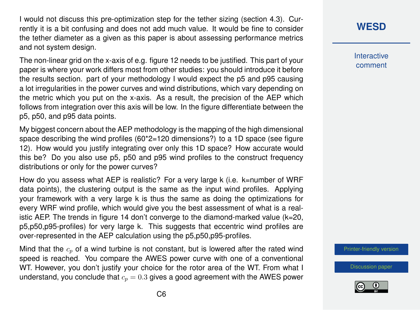I would not discuss this pre-optimization step for the tether sizing (section 4.3). Currently it is a bit confusing and does not add much value. It would be fine to consider the tether diameter as a given as this paper is about assessing performance metrics and not system design.

The non-linear grid on the x-axis of e.g. figure 12 needs to be justified. This part of your paper is where your work differs most from other studies: you should introduce it before the results section. part of your methodology I would expect the p5 and p95 causing a lot irregularities in the power curves and wind distributions, which vary depending on the metric which you put on the x-axis. As a result, the precision of the AEP which follows from integration over this axis will be low. In the figure differentiate between the p5, p50, and p95 data points.

My biggest concern about the AEP methodology is the mapping of the high dimensional space describing the wind profiles  $(60^{\circ}\text{2}=120 \text{ dimensions?)}$  to a 1D space (see figure 12). How would you justify integrating over only this 1D space? How accurate would this be? Do you also use p5, p50 and p95 wind profiles to the construct frequency distributions or only for the power curves?

How do you assess what AEP is realistic? For a very large k (i.e. k=number of WRF data points), the clustering output is the same as the input wind profiles. Applying your framework with a very large k is thus the same as doing the optimizations for every WRF wind profile, which would give you the best assessment of what is a realistic AEP. The trends in figure 14 don't converge to the diamond-marked value (k=20, p5,p50,p95-profiles) for very large k. This suggests that eccentric wind profiles are over-represented in the AEP calculation using the p5,p50,p95-profiles.

Mind that the  $c_p$  of a wind turbine is not constant, but is lowered after the rated wind speed is reached. You compare the AWES power curve with one of a conventional WT. However, you don't justify your choice for the rotor area of the WT. From what I understand, you conclude that  $c_p = 0.3$  gives a good agreement with the AWES power

# **[WESD](https://wes.copernicus.org/preprints/)**

**Interactive** comment

[Printer-friendly version](https://wes.copernicus.org/preprints/wes-2020-120/wes-2020-120-RC1-print.pdf)

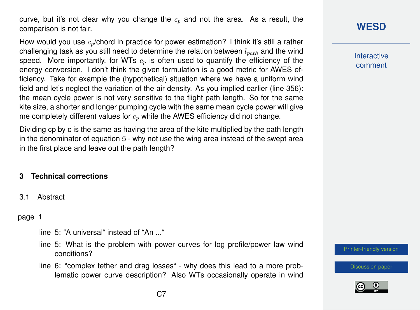curve, but it's not clear why you change the  $c_p$  and not the area. As a result, the comparison is not fair.

How would you use  $c_p$ /chord in practice for power estimation? I think it's still a rather challenging task as you still need to determine the relation between  $l_{nath}$  and the wind speed. More importantly, for WTs  $c_p$  is often used to quantify the efficiency of the energy conversion. I don't think the given formulation is a good metric for AWES efficiency. Take for example the (hypothetical) situation where we have a uniform wind field and let's neglect the variation of the air density. As you implied earlier (line 356): the mean cycle power is not very sensitive to the flight path length. So for the same kite size, a shorter and longer pumping cycle with the same mean cycle power will give me completely different values for  $c_p$  while the AWES efficiency did not change.

Dividing cp by c is the same as having the area of the kite multiplied by the path length in the denominator of equation 5 - why not use the wing area instead of the swept area in the first place and leave out the path length?

### **3 Technical corrections**

3.1 Abstract

page 1

- line 5: "A universal" instead of "An ..."
- line 5: What is the problem with power curves for log profile/power law wind conditions?
- line 6: "complex tether and drag losses" why does this lead to a more problematic power curve description? Also WTs occasionally operate in wind

# **[WESD](https://wes.copernicus.org/preprints/)**

**Interactive** comment

[Printer-friendly version](https://wes.copernicus.org/preprints/wes-2020-120/wes-2020-120-RC1-print.pdf)

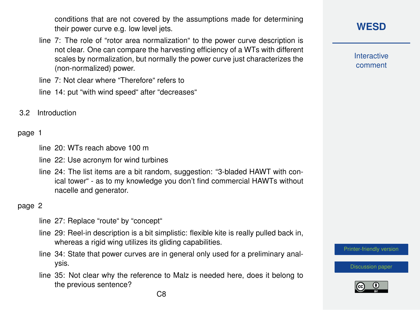conditions that are not covered by the assumptions made for determining their power curve e.g. low level jets.

line 7: The role of "rotor area normalization" to the power curve description is not clear. One can compare the harvesting efficiency of a WTs with different scales by normalization, but normally the power curve just characterizes the (non-normalized) power.

line 7: Not clear where "Therefore" refers to

line 14: put "with wind speed" after "decreases"

3.2 Introduction

#### page 1

line 20: WTs reach above 100 m

line 22: Use acronym for wind turbines

line 24: The list items are a bit random, suggestion: "3-bladed HAWT with conical tower" - as to my knowledge you don't find commercial HAWTs without nacelle and generator.

#### page 2

- line 27: Replace "route" by "concept"
- line 29: Reel-in description is a bit simplistic: flexible kite is really pulled back in, whereas a rigid wing utilizes its gliding capabilities.
- line 34: State that power curves are in general only used for a preliminary analysis.
- line 35: Not clear why the reference to Malz is needed here, does it belong to the previous sentence?

**Interactive** comment

[Printer-friendly version](https://wes.copernicus.org/preprints/wes-2020-120/wes-2020-120-RC1-print.pdf)

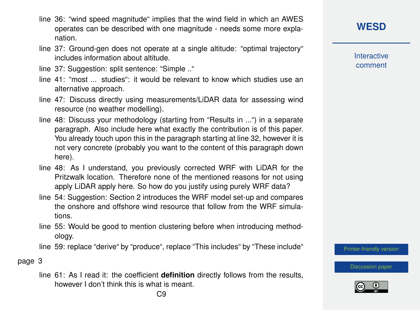- line 36: "wind speed magnitude" implies that the wind field in which an AWES operates can be described with one magnitude - needs some more explanation.
- line 37: Ground-gen does not operate at a single altitude: "optimal trajectory" includes information about altitude.
- line 37: Suggestion: split sentence: "Simple .."
- line 41: "most ... studies": it would be relevant to know which studies use an alternative approach.
- line 47: Discuss directly using measurements/LiDAR data for assessing wind resource (no weather modelling).
- line 48: Discuss your methodology (starting from "Results in ...") in a separate paragraph. Also include here what exactly the contribution is of this paper. You already touch upon this in the paragraph starting at line 32, however it is not very concrete (probably you want to the content of this paragraph down here).
- line 48: As I understand, you previously corrected WRF with LiDAR for the Pritzwalk location. Therefore none of the mentioned reasons for not using apply LiDAR apply here. So how do you justify using purely WRF data?
- line 54: Suggestion: Section 2 introduces the WRF model set-up and compares the onshore and offshore wind resource that follow from the WRF simulations.
- line 55: Would be good to mention clustering before when introducing methodology.

line 59: replace "derive" by "produce", replace "This includes" by "These include"

page 3

line 61: As I read it: the coefficient **definition** directly follows from the results, however I don't think this is what is meant.

**Interactive** comment

[Printer-friendly version](https://wes.copernicus.org/preprints/wes-2020-120/wes-2020-120-RC1-print.pdf)

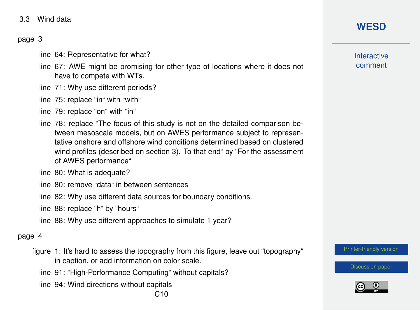3.3 Wind data

### page 3

- line 64: Representative for what?
- line 67: AWE might be promising for other type of locations where it does not have to compete with WTs.
- line 71: Why use different periods?
- line 75: replace "in" with "with"
- line 79: replace "on" with "in"
- line 78: replace "The focus of this study is not on the detailed comparison between mesoscale models, but on AWES performance subject to representative onshore and offshore wind conditions determined based on clustered wind profiles (described on section 3). To that end" by "For the assessment of AWES performance"
- line 80: What is adequate?
- line 80: remove "data" in between sentences
- line 82: Why use different data sources for boundary conditions.
- line 88: replace "h" by "hours"
- line 88: Why use different approaches to simulate 1 year?

#### page 4

- figure 1: It's hard to assess the topography from this figure, leave out "topography" in caption, or add information on color scale.
	- line 91: "High-Performance Computing" without capitals?
	- line 94: Wind directions without capitals

# **[WESD](https://wes.copernicus.org/preprints/)**

**Interactive** comment

[Printer-friendly version](https://wes.copernicus.org/preprints/wes-2020-120/wes-2020-120-RC1-print.pdf)

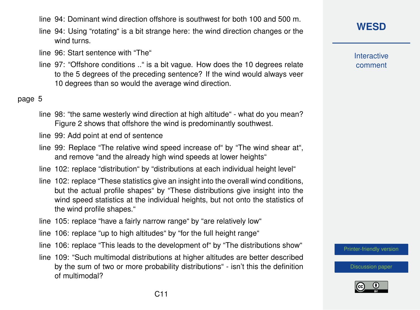- line 94: Dominant wind direction offshore is southwest for both 100 and 500 m.
- line 94: Using "rotating" is a bit strange here: the wind direction changes or the wind turns.
- line 96: Start sentence with "The"
- line 97: "Offshore conditions .." is a bit vague. How does the 10 degrees relate to the 5 degrees of the preceding sentence? If the wind would always veer 10 degrees than so would the average wind direction.

### page 5

- line 98: "the same westerly wind direction at high altitude" what do you mean? Figure 2 shows that offshore the wind is predominantly southwest.
- line 99: Add point at end of sentence
- line 99: Replace "The relative wind speed increase of" by "The wind shear at", and remove "and the already high wind speeds at lower heights"
- line 102: replace "distribution" by "distributions at each individual height level"
- line 102: replace "These statistics give an insight into the overall wind conditions, but the actual profile shapes" by "These distributions give insight into the wind speed statistics at the individual heights, but not onto the statistics of the wind profile shapes."
- line 105: replace "have a fairly narrow range" by "are relatively low"
- line 106: replace "up to high altitudes" by "for the full height range"
- line 106: replace "This leads to the development of" by "The distributions show"
- line 109: "Such multimodal distributions at higher altitudes are better described by the sum of two or more probability distributions" - isn't this the definition of multimodal?

# **[WESD](https://wes.copernicus.org/preprints/)**

**Interactive** comment

[Printer-friendly version](https://wes.copernicus.org/preprints/wes-2020-120/wes-2020-120-RC1-print.pdf)

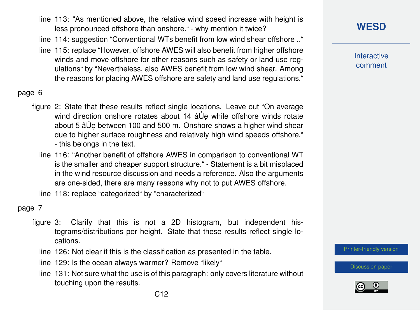- line 113: "As mentioned above, the relative wind speed increase with height is less pronounced offshore than onshore." - why mention it twice?
- line 114: suggestion "Conventional WTs benefit from low wind shear offshore .."
- line 115: replace "However, offshore AWES will also benefit from higher offshore winds and move offshore for other reasons such as safety or land use regulations" by "Nevertheless, also AWES benefit from low wind shear. Among the reasons for placing AWES offshore are safety and land use regulations."

### page 6

- figure 2: State that these results reflect single locations. Leave out "On average wind direction onshore rotates about 14 âUe while offshore winds rotate about 5 â Ue between 100 and 500 m. Onshore shows a higher wind shear due to higher surface roughness and relatively high wind speeds offshore." - this belongs in the text.
	- line 116: "Another benefit of offshore AWES in comparison to conventional WT is the smaller and cheaper support structure." - Statement is a bit misplaced in the wind resource discussion and needs a reference. Also the arguments are one-sided, there are many reasons why not to put AWES offshore.

line 118: replace "categorized" by "characterized"

#### page 7

- figure 3: Clarify that this is not a 2D histogram, but independent histograms/distributions per height. State that these results reflect single locations.
	- line 126: Not clear if this is the classification as presented in the table.
	- line 129: Is the ocean always warmer? Remove "likely"
	- line 131: Not sure what the use is of this paragraph: only covers literature without touching upon the results.

**Interactive** comment

[Printer-friendly version](https://wes.copernicus.org/preprints/wes-2020-120/wes-2020-120-RC1-print.pdf)

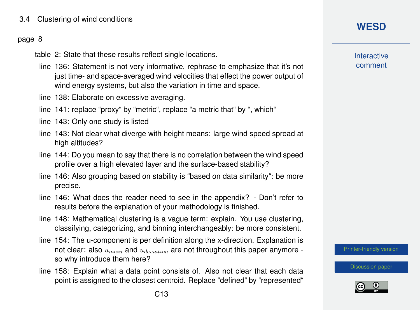### 3.4 Clustering of wind conditions

#### page 8

table 2: State that these results reflect single locations.

- line 136: Statement is not very informative, rephrase to emphasize that it's not just time- and space-averaged wind velocities that effect the power output of wind energy systems, but also the variation in time and space.
- line 138: Elaborate on excessive averaging.
- line 141: replace "proxy" by "metric", replace "a metric that" by ", which"
- line 143: Only one study is listed
- line 143: Not clear what diverge with height means: large wind speed spread at high altitudes?
- line 144: Do you mean to say that there is no correlation between the wind speed profile over a high elevated layer and the surface-based stability?
- line 146: Also grouping based on stability is "based on data similarity": be more precise.
- line 146: What does the reader need to see in the appendix? Don't refer to results before the explanation of your methodology is finished.
- line 148: Mathematical clustering is a vague term: explain. You use clustering, classifying, categorizing, and binning interchangeably: be more consistent.
- line 154: The u-component is per definition along the x-direction. Explanation is not clear: also  $u_{main}$  and  $u_{deriation}$  are not throughout this paper anymore so why introduce them here?
- line 158: Explain what a data point consists of. Also not clear that each data point is assigned to the closest centroid. Replace "defined" by "represented"

# **[WESD](https://wes.copernicus.org/preprints/)**

**Interactive** comment

[Printer-friendly version](https://wes.copernicus.org/preprints/wes-2020-120/wes-2020-120-RC1-print.pdf)

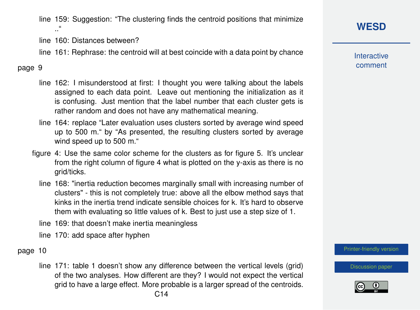line 159: Suggestion: "The clustering finds the centroid positions that minimize .."

line 160: Distances between?

line 161: Rephrase: the centroid will at best coincide with a data point by chance

### page 9

- line 162: I misunderstood at first: I thought you were talking about the labels assigned to each data point. Leave out mentioning the initialization as it is confusing. Just mention that the label number that each cluster gets is rather random and does not have any mathematical meaning.
- line 164: replace "Later evaluation uses clusters sorted by average wind speed up to 500 m." by "As presented, the resulting clusters sorted by average wind speed up to 500 m."
- figure 4: Use the same color scheme for the clusters as for figure 5. It's unclear from the right column of figure 4 what is plotted on the y-axis as there is no grid/ticks.
	- line 168: "inertia reduction becomes marginally small with increasing number of clusters" - this is not completely true: above all the elbow method says that kinks in the inertia trend indicate sensible choices for k. It's hard to observe them with evaluating so little values of k. Best to just use a step size of 1.
	- line 169: that doesn't make inertia meaningless

line 170: add space after hyphen

### page 10

line 171: table 1 doesn't show any difference between the vertical levels (grid) of the two analyses. How different are they? I would not expect the vertical grid to have a large effect. More probable is a larger spread of the centroids. C14

# **[WESD](https://wes.copernicus.org/preprints/)**

**Interactive** comment

[Printer-friendly version](https://wes.copernicus.org/preprints/wes-2020-120/wes-2020-120-RC1-print.pdf)

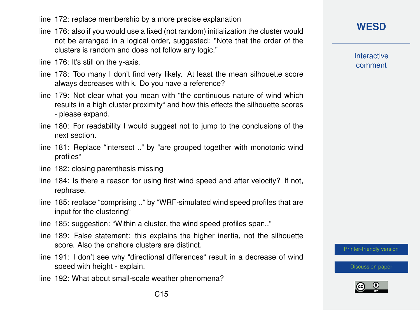- line 172: replace membership by a more precise explanation
- line 176: also if you would use a fixed (not random) initialization the cluster would not be arranged in a logical order, suggested: "Note that the order of the clusters is random and does not follow any logic."
- line 176: It's still on the y-axis.
- line 178: Too many I don't find very likely. At least the mean silhouette score always decreases with k. Do you have a reference?
- line 179: Not clear what you mean with "the continuous nature of wind which results in a high cluster proximity" and how this effects the silhouette scores - please expand.
- line 180: For readability I would suggest not to jump to the conclusions of the next section.
- line 181: Replace "intersect .." by "are grouped together with monotonic wind profiles"
- line 182: closing parenthesis missing
- line 184: Is there a reason for using first wind speed and after velocity? If not, rephrase.
- line 185: replace "comprising .." by "WRF-simulated wind speed profiles that are input for the clustering"
- line 185: suggestion: "Within a cluster, the wind speed profiles span.."
- line 189: False statement: this explains the higher inertia, not the silhouette score. Also the onshore clusters are distinct.
- line 191: I don't see why "directional differences" result in a decrease of wind speed with height - explain.
- line 192: What about small-scale weather phenomena?

**Interactive** comment

[Printer-friendly version](https://wes.copernicus.org/preprints/wes-2020-120/wes-2020-120-RC1-print.pdf)

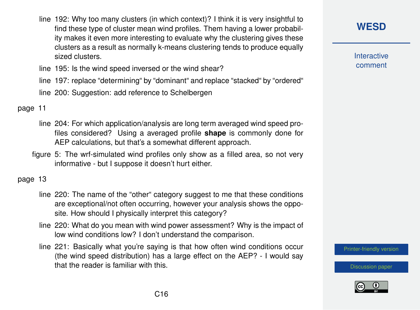line 192: Why too many clusters (in which context)? I think it is very insightful to find these type of cluster mean wind profiles. Them having a lower probability makes it even more interesting to evaluate why the clustering gives these clusters as a result as normally k-means clustering tends to produce equally sized clusters.

line 195: Is the wind speed inversed or the wind shear?

line 197: replace "determining" by "dominant" and replace "stacked" by "ordered"

line 200: Suggestion: add reference to Schelbergen

page 11

- line 204: For which application/analysis are long term averaged wind speed profiles considered? Using a averaged profile **shape** is commonly done for AEP calculations, but that's a somewhat different approach.
- figure 5: The wrf-simulated wind profiles only show as a filled area, so not very informative - but I suppose it doesn't hurt either.

page 13

- line 220: The name of the "other" category suggest to me that these conditions are exceptional/not often occurring, however your analysis shows the opposite. How should I physically interpret this category?
- line 220: What do you mean with wind power assessment? Why is the impact of low wind conditions low? I don't understand the comparison.
- line 221: Basically what you're saying is that how often wind conditions occur (the wind speed distribution) has a large effect on the AEP? - I would say that the reader is familiar with this.

**[WESD](https://wes.copernicus.org/preprints/)**

**Interactive** comment

[Printer-friendly version](https://wes.copernicus.org/preprints/wes-2020-120/wes-2020-120-RC1-print.pdf)

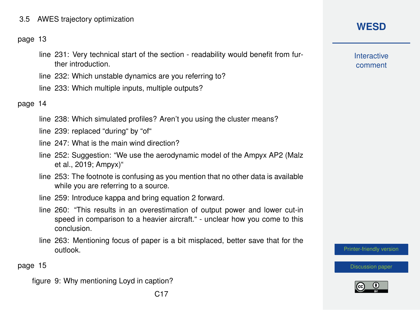### 3.5 AWES trajectory optimization

#### page 13

- line 231: Very technical start of the section readability would benefit from further introduction.
- line 232: Which unstable dynamics are you referring to?
- line 233: Which multiple inputs, multiple outputs?

page 14

- line 238: Which simulated profiles? Aren't you using the cluster means?
- line 239: replaced "during" by "of"
- line 247: What is the main wind direction?
- line 252: Suggestion: "We use the aerodynamic model of the Ampyx AP2 (Malz et al., 2019; Ampyx)"
- line 253: The footnote is confusing as you mention that no other data is available while you are referring to a source.
- line 259: Introduce kappa and bring equation 2 forward.
- line 260: "This results in an overestimation of output power and lower cut-in speed in comparison to a heavier aircraft." - unclear how you come to this conclusion.
- line 263: Mentioning focus of paper is a bit misplaced, better save that for the outlook.

C17

page 15

figure 9: Why mentioning Loyd in caption?

# **[WESD](https://wes.copernicus.org/preprints/)**

**Interactive** comment

[Printer-friendly version](https://wes.copernicus.org/preprints/wes-2020-120/wes-2020-120-RC1-print.pdf)

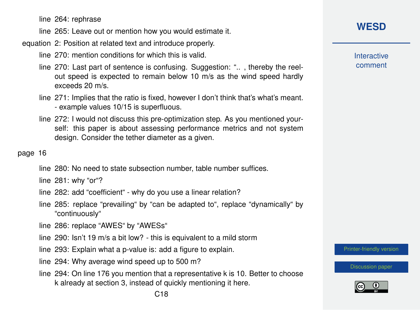line 264: rephrase

line 265: Leave out or mention how you would estimate it.

#### equation 2: Position at related text and introduce properly.

line 270: mention conditions for which this is valid.

- line 270: Last part of sentence is confusing. Suggestion: ".. , thereby the reelout speed is expected to remain below 10 m/s as the wind speed hardly exceeds 20 m/s.
- line 271: Implies that the ratio is fixed, however I don't think that's what's meant. - example values 10/15 is superfluous.
- line 272: I would not discuss this pre-optimization step. As you mentioned yourself: this paper is about assessing performance metrics and not system design. Consider the tether diameter as a given.

### page 16

line 280: No need to state subsection number, table number suffices.

line 281: why "or"?

- line 282: add "coefficient" why do you use a linear relation?
- line 285: replace "prevailing" by "can be adapted to", replace "dynamically" by "continuously"
- line 286: replace "AWES" by "AWESs"
- line 290: Isn't 19 m/s a bit low? this is equivalent to a mild storm
- line 293: Explain what a p-value is: add a figure to explain.
- line 294: Why average wind speed up to 500 m?
- line 294: On line 176 you mention that a representative k is 10. Better to choose k already at section 3, instead of quickly mentioning it here.

# **[WESD](https://wes.copernicus.org/preprints/)**

**Interactive** comment

[Printer-friendly version](https://wes.copernicus.org/preprints/wes-2020-120/wes-2020-120-RC1-print.pdf)

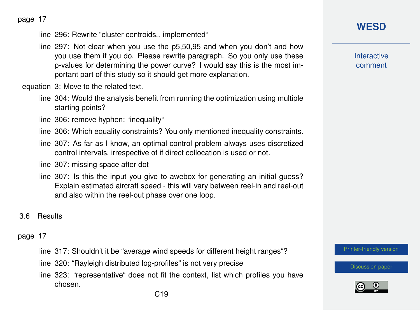page 17

line 296: Rewrite "cluster centroids.. implemented"

line 297: Not clear when you use the p5,50,95 and when you don't and how you use them if you do. Please rewrite paragraph. So you only use these p-values for determining the power curve? I would say this is the most important part of this study so it should get more explanation.

equation 3: Move to the related text.

line 304: Would the analysis benefit from running the optimization using multiple starting points?

line 306: remove hyphen: "inequality"

- line 306: Which equality constraints? You only mentioned inequality constraints.
- line 307: As far as I know, an optimal control problem always uses discretized control intervals, irrespective of if direct collocation is used or not.

line 307: missing space after dot

- line 307: Is this the input you give to awebox for generating an initial guess? Explain estimated aircraft speed - this will vary between reel-in and reel-out and also within the reel-out phase over one loop.
- 3.6 Results

### page 17

- line 317: Shouldn't it be "average wind speeds for different height ranges"?
- line 320: "Rayleigh distributed log-profiles" is not very precise
- line 323: "representative" does not fit the context, list which profiles you have chosen.

**[WESD](https://wes.copernicus.org/preprints/)**

**Interactive** comment

[Printer-friendly version](https://wes.copernicus.org/preprints/wes-2020-120/wes-2020-120-RC1-print.pdf)

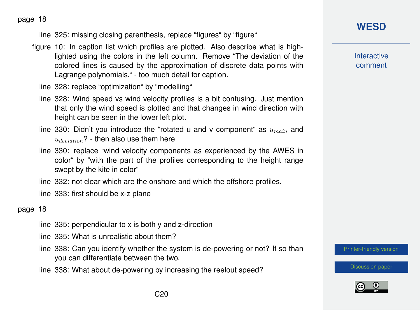page 18

line 325: missing closing parenthesis, replace "figures" by "figure"

- figure 10: In caption list which profiles are plotted. Also describe what is highlighted using the colors in the left column. Remove "The deviation of the colored lines is caused by the approximation of discrete data points with Lagrange polynomials." - too much detail for caption.
	- line 328: replace "optimization" by "modelling"
	- line 328: Wind speed vs wind velocity profiles is a bit confusing. Just mention that only the wind speed is plotted and that changes in wind direction with height can be seen in the lower left plot.
	- line 330: Didn't you introduce the "rotated u and v component" as  $u_{main}$  and  $u_{deviation}$ ? - then also use them here
	- line 330: replace "wind velocity components as experienced by the AWES in color" by "with the part of the profiles corresponding to the height range swept by the kite in color"
	- line 332: not clear which are the onshore and which the offshore profiles.

line 333: first should be x-z plane

#### page 18

- line 335: perpendicular to x is both y and z-direction
- line 335: What is unrealistic about them?
- line 338: Can you identify whether the system is de-powering or not? If so than you can differentiate between the two.
- line 338: What about de-powering by increasing the reelout speed?

**[WESD](https://wes.copernicus.org/preprints/)**

**Interactive** comment

[Printer-friendly version](https://wes.copernicus.org/preprints/wes-2020-120/wes-2020-120-RC1-print.pdf)

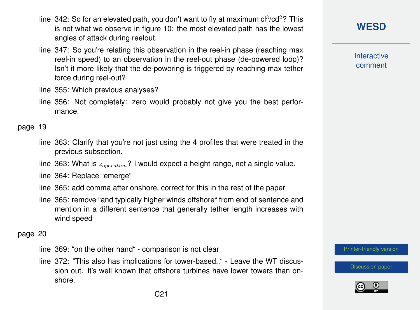- line 342: So for an elevated path, you don't want to fly at maximum  $cl^3/cd^2$ ? This is not what we observe in figure 10: the most elevated path has the lowest angles of attack during reelout.
- line 347: So you're relating this observation in the reel-in phase (reaching max reel-in speed) to an observation in the reel-out phase (de-powered loop)? Isn't it more likely that the de-powering is triggered by reaching max tether force during reel-out?

line 355: Which previous analyses?

line 356: Not completely: zero would probably not give you the best performance.

page 19

- line 363: Clarify that you're not just using the 4 profiles that were treated in the previous subsection.
- line 363: What is  $z_{operation}$ ? I would expect a height range, not a single value.
- line 364: Replace "emerge"
- line 365: add comma after onshore, correct for this in the rest of the paper
- line 365: remove "and typically higher winds offshore" from end of sentence and mention in a different sentence that generally tether length increases with wind speed

page 20

line 369: "on the other hand" - comparison is not clear

line 372: "This also has implications for tower-based.." - Leave the WT discussion out. It's well known that offshore turbines have lower towers than onshore.

**[WESD](https://wes.copernicus.org/preprints/)**

**Interactive** comment

[Printer-friendly version](https://wes.copernicus.org/preprints/wes-2020-120/wes-2020-120-RC1-print.pdf)

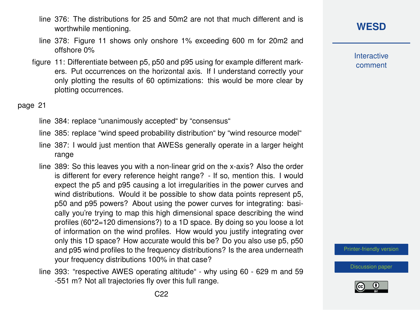- line 376: The distributions for 25 and 50m2 are not that much different and is worthwhile mentioning.
- line 378: Figure 11 shows only onshore 1% exceeding 600 m for 20m2 and offshore 0%
- figure 11: Differentiate between p5, p50 and p95 using for example different markers. Put occurrences on the horizontal axis. If I understand correctly your only plotting the results of 60 optimizations: this would be more clear by plotting occurrences.

page 21

line 384: replace "unanimously accepted" by "consensus"

line 385: replace "wind speed probability distribution" by "wind resource model"

- line 387: I would just mention that AWESs generally operate in a larger height range
- line 389: So this leaves you with a non-linear grid on the x-axis? Also the order is different for every reference height range? - If so, mention this. I would expect the p5 and p95 causing a lot irregularities in the power curves and wind distributions. Would it be possible to show data points represent p5, p50 and p95 powers? About using the power curves for integrating: basically you're trying to map this high dimensional space describing the wind profiles (60\*2=120 dimensions?) to a 1D space. By doing so you loose a lot of information on the wind profiles. How would you justify integrating over only this 1D space? How accurate would this be? Do you also use p5, p50 and p95 wind profiles to the frequency distributions? Is the area underneath your frequency distributions 100% in that case?
- line 393: "respective AWES operating altitude" why using 60 629 m and 59 -551 m? Not all trajectories fly over this full range.

**[WESD](https://wes.copernicus.org/preprints/)**

**Interactive** comment

[Printer-friendly version](https://wes.copernicus.org/preprints/wes-2020-120/wes-2020-120-RC1-print.pdf)

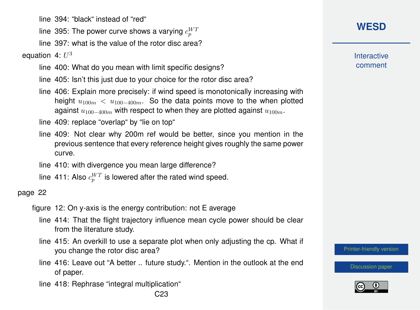line 394: "black" instead of "red"

line 395: The power curve shows a varying  $c_{p}^{W\!I}$ 

line 397: what is the value of the rotor disc area?

equation 4:  $U^3$ 

line 400: What do you mean with limit specific designs?

line 405: Isn't this just due to your choice for the rotor disc area?

line 406: Explain more precisely: if wind speed is monotonically increasing with height  $u_{100m} < u_{100-400m}$ . So the data points move to the when plotted against  $u_{100-400m}$  with respect to when they are plotted against  $u_{100m}$ .

line 409: replace "overlap" by "lie on top"

- line 409: Not clear why 200m ref would be better, since you mention in the previous sentence that every reference height gives roughly the same power curve.
- line 410: with divergence you mean large difference?
- line 411: Also  $c_{p}^{WT}$  is lowered after the rated wind speed.

### page 22

- figure 12: On y-axis is the energy contribution: not E average
	- line 414: That the flight trajectory influence mean cycle power should be clear from the literature study.
	- line 415: An overkill to use a separate plot when only adjusting the cp. What if you change the rotor disc area?
	- line 416: Leave out "A better .. future study.". Mention in the outlook at the end of paper.
	- line 418: Rephrase "integral multiplication"

**Interactive** comment

[Printer-friendly version](https://wes.copernicus.org/preprints/wes-2020-120/wes-2020-120-RC1-print.pdf)

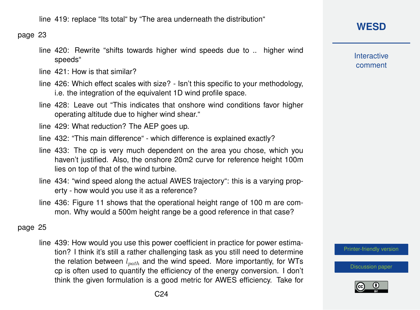line 419: replace "Its total" by "The area underneath the distribution"

page 23

line 420: Rewrite "shifts towards higher wind speeds due to .. higher wind speeds"

line 421: How is that similar?

- line 426: Which effect scales with size? Isn't this specific to your methodology, i.e. the integration of the equivalent 1D wind profile space.
- line 428: Leave out "This indicates that onshore wind conditions favor higher operating altitude due to higher wind shear."
- line 429: What reduction? The AEP goes up.
- line 432: "This main difference" which difference is explained exactly?
- line 433: The cp is very much dependent on the area you chose, which you haven't justified. Also, the onshore 20m2 curve for reference height 100m lies on top of that of the wind turbine.
- line 434: "wind speed along the actual AWES trajectory": this is a varying property - how would you use it as a reference?
- line 436: Figure 11 shows that the operational height range of 100 m are common. Why would a 500m height range be a good reference in that case?

### page 25

line 439: How would you use this power coefficient in practice for power estimation? I think it's still a rather challenging task as you still need to determine the relation between  $l_{path}$  and the wind speed. More importantly, for WTs cp is often used to quantify the efficiency of the energy conversion. I don't think the given formulation is a good metric for AWES efficiency. Take for **Interactive** comment

[Printer-friendly version](https://wes.copernicus.org/preprints/wes-2020-120/wes-2020-120-RC1-print.pdf)

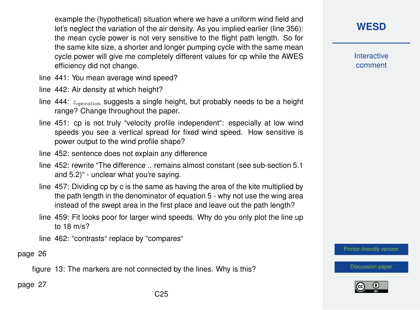example the (hypothetical) situation where we have a uniform wind field and let's neglect the variation of the air density. As you implied earlier (line 356): the mean cycle power is not very sensitive to the flight path length. So for the same kite size, a shorter and longer pumping cycle with the same mean cycle power will give me completely different values for cp while the AWES efficiency did not change.

- line 441: You mean average wind speed?
- line 442: Air density at which height?
- line 444:  $z_{operation}$  suggests a single height, but probably needs to be a height range? Change throughout the paper.
- line 451: cp is not truly "velocity profile independent": especially at low wind speeds you see a vertical spread for fixed wind speed. How sensitive is power output to the wind profile shape?
- line 452: sentence does not explain any difference
- line 452: rewrite "The difference .. remains almost constant (see sub-section 5.1 and 5.2)" - unclear what you're saying.
- line 457: Dividing cp by c is the same as having the area of the kite multiplied by the path length in the denominator of equation 5 - why not use the wing area instead of the swept area in the first place and leave out the path length?
- line 459: Fit looks poor for larger wind speeds. Why do you only plot the line up to 18 m/s?

line 462: "contrasts" replace by "compares"

page 26

figure 13: The markers are not connected by the lines. Why is this?

page 27

# **[WESD](https://wes.copernicus.org/preprints/)**

**Interactive** comment

[Printer-friendly version](https://wes.copernicus.org/preprints/wes-2020-120/wes-2020-120-RC1-print.pdf)

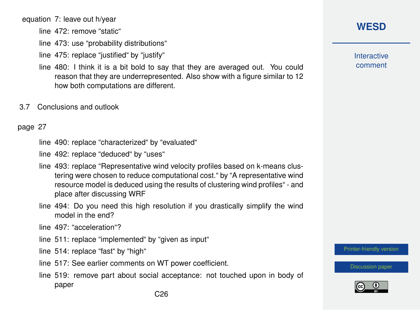equation 7: leave out h/year

line 472: remove "static"

line 473: use "probability distributions"

line 475: replace "justified" by "justify"

- line 480: I think it is a bit bold to say that they are averaged out. You could reason that they are underrepresented. Also show with a figure similar to 12 how both computations are different.
- 3.7 Conclusions and outlook

#### page 27

line 490: replace "characterized" by "evaluated"

line 492: replace "deduced" by "uses"

- line 493: replace "Representative wind velocity profiles based on k-means clustering were chosen to reduce computational cost." by "A representative wind resource model is deduced using the results of clustering wind profiles" - and place after discussing WRF
- line 494: Do you need this high resolution if you drastically simplify the wind model in the end?

line 497: "acceleration"?

line 511: replace "implemented" by "given as input"

line 514: replace "fast" by "high"

- line 517: See earlier comments on WT power coefficient.
- line 519: remove part about social acceptance: not touched upon in body of paper

**Interactive** comment

[Printer-friendly version](https://wes.copernicus.org/preprints/wes-2020-120/wes-2020-120-RC1-print.pdf)